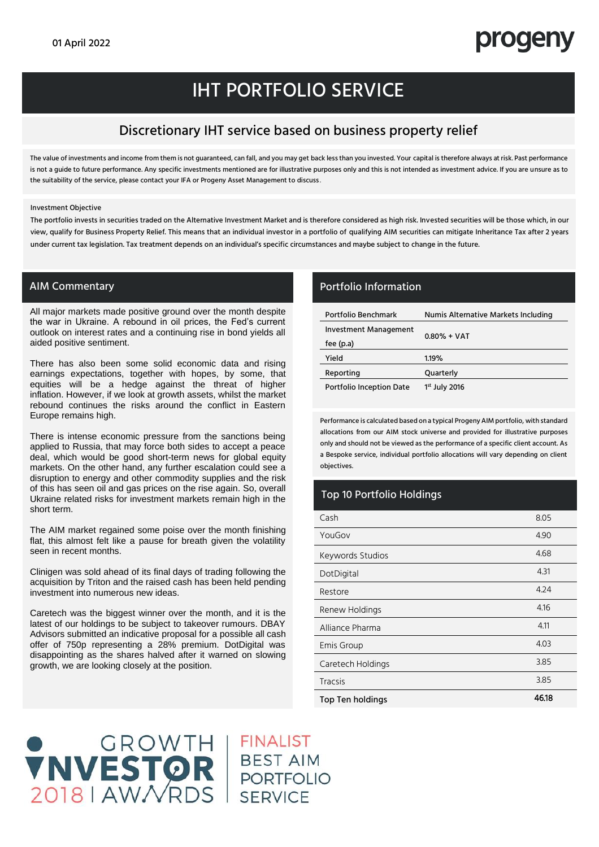## progeny

## IHT PORTFOLIO SERVICE

### Discretionary IHT service based on business property relief

The value of investments and income from them is not guaranteed, can fall, and you may get back less than you invested. Your capital is therefore always at risk. Past performance is not a guide to future performance. Any specific investments mentioned are for illustrative purposes only and this is not intended as investment advice. If you are unsure as to the suitability of the service, please contact your IFA or Progeny Asset Management to discuss.

Investment Objective

The portfolio invests in securities traded on the Alternative Investment Market and is therefore considered as high risk. Invested securities will be those which, in our view, qualify for Business Property Relief. This means that an individual investor in a portfolio of qualifying AIM securities can mitigate Inheritance Tax after 2 years under current tax legislation. Tax treatment depends on an individual's specific circumstances and maybe subject to change in the future.

All major markets made positive ground over the month despite the war in Ukraine. A rebound in oil prices, the Fed's current outlook on interest rates and a continuing rise in bond yields all aided positive sentiment.

There has also been some solid economic data and rising earnings expectations, together with hopes, by some, that equities will be a hedge against the threat of higher inflation. However, if we look at growth assets, whilst the market rebound continues the risks around the conflict in Eastern Europe remains high.

There is intense economic pressure from the sanctions being applied to Russia, that may force both sides to accept a peace deal, which would be good short-term news for global equity markets. On the other hand, any further escalation could see a disruption to energy and other commodity supplies and the risk of this has seen oil and gas prices on the rise again. So, overall Ukraine related risks for investment markets remain high in the short term.

The AIM market regained some poise over the month finishing flat, this almost felt like a pause for breath given the volatility seen in recent months.

Clinigen was sold ahead of its final days of trading following the acquisition by Triton and the raised cash has been held pending investment into numerous new ideas.

Caretech was the biggest winner over the month, and it is the latest of our holdings to be subject to takeover rumours. DBAY Advisors submitted an indicative proposal for a possible all cash offer of 750p representing a 28% premium. DotDigital was disappointing as the shares halved after it warned on slowing growth, we are looking closely at the position.

#### AIM Commentary **Portfolio Information**

| Portfolio Benchmark             | Numis Alternative Markets Including |  |
|---------------------------------|-------------------------------------|--|
| Investment Management           | $0.80\% + VAT$                      |  |
| fee $(p.a)$                     |                                     |  |
| Yield                           | 1.19%                               |  |
| Reporting                       | Quarterly                           |  |
| <b>Portfolio Inception Date</b> | $1st$ July 2016                     |  |

Performance is calculated based on a typical Progeny AIM portfolio, with standard allocations from our AIM stock universe and provided for illustrative purposes only and should not be viewed as the performance of a specific client account. As a Bespoke service, individual portfolio allocations will vary depending on client objectives.

#### Top 10 Portfolio Holdings

| Cash                    | 8.05  |
|-------------------------|-------|
| YouGov                  | 4.90  |
| Keywords Studios        | 4.68  |
| DotDigital              | 4.31  |
| Restore                 | 4.24  |
| Renew Holdings          | 4.16  |
| Alliance Pharma         | 4.11  |
| Emis Group              | 4.03  |
| Caretech Holdings       | 3.85  |
| <b>Tracsis</b>          | 3.85  |
| <b>Top Ten holdings</b> | 46.18 |

# STOR BEST AIM